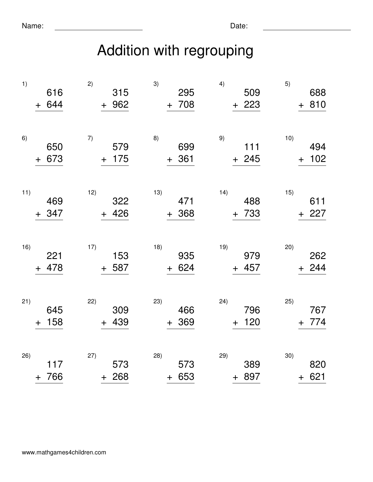## Addition with regrouping

| 1)<br>$\boldsymbol{+}$  | 616<br>644   | 2)<br>315<br>962<br>$+$   | 3)<br>295<br>708<br>$+$  | 4)<br>509<br>223<br>$+$     | 5)<br>688<br>810<br>$\pm$    |
|-------------------------|--------------|---------------------------|--------------------------|-----------------------------|------------------------------|
| 6)<br>$\boldsymbol{+}$  | 650<br>673   | 7)<br>579<br>175<br>$\pm$ | 8)<br>699<br>361<br>$+$  | 9)<br>111<br>245<br>$+$     | 10)<br>494<br>102<br>$\ddag$ |
| 11)<br>$+$              | 469<br>347   | 12)<br>322<br>426<br>$+$  | 13)<br>471<br>368<br>$+$ | 14)<br>488<br>733<br>$+$    | 15)<br>611<br>227<br>$+$     |
| 16)                     | 221<br>+ 478 | 17)<br>153<br>587<br>$+$  | 18)<br>935<br>624<br>$+$ | 19)<br>979<br>457<br>$+$    | 20)<br>262<br>244<br>$+$     |
| 21)<br>$\boldsymbol{+}$ | 645<br>158   | 22)<br>309<br>439<br>$+$  | 23)<br>466<br>369<br>$+$ | (24)<br>796<br>120<br>$\pm$ | 25)<br>767<br>774<br>$+$     |
| 26)<br>$\ddot{}$        | 117<br>766   | 27)<br>573<br>268<br>$+$  | 28)<br>573<br>653<br>$+$ | 29)<br>389<br>897<br>$+$    | 30)<br>820<br>621<br>$+$     |